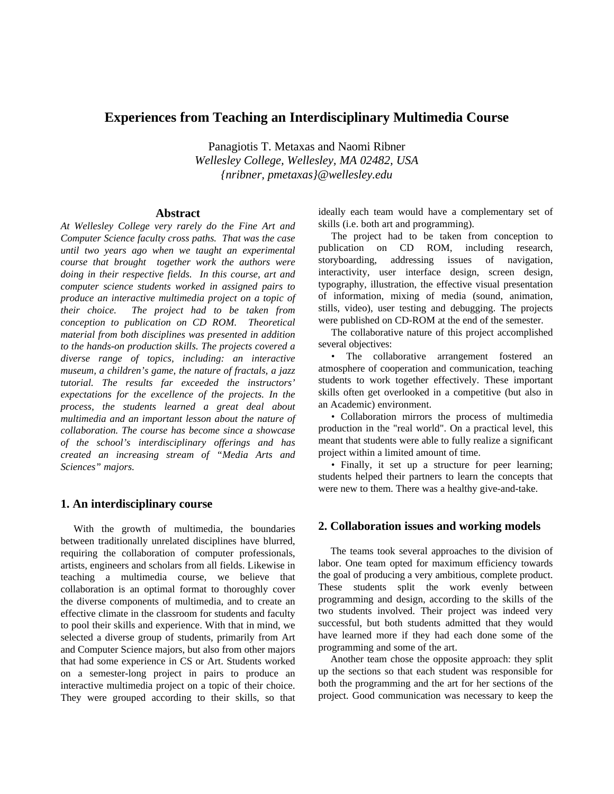# **Experiences from Teaching an Interdisciplinary Multimedia Course**

Panagiotis T. Metaxas and Naomi Ribner *Wellesley College, Wellesley, MA 02482, USA {nribner, pmetaxas}@wellesley.edu*

#### **Abstract**

*At Wellesley College very rarely do the Fine Art and Computer Science faculty cross paths. That was the case until two years ago when we taught an experimental course that brought together work the authors were doing in their respective fields. In this course, art and computer science students worked in assigned pairs to produce an interactive multimedia project on a topic of their choice. The project had to be taken from conception to publication on CD ROM. Theoretical material from both disciplines was presented in addition to the hands-on production skills. The projects covered a diverse range of topics, including: an interactive museum, a children's game, the nature of fractals, a jazz tutorial. The results far exceeded the instructors' expectations for the excellence of the projects. In the process, the students learned a great deal about multimedia and an important lesson about the nature of collaboration. The course has become since a showcase of the school's interdisciplinary offerings and has created an increasing stream of "Media Arts and Sciences" majors.*

### **1. An interdisciplinary course**

With the growth of multimedia, the boundaries between traditionally unrelated disciplines have blurred, requiring the collaboration of computer professionals, artists, engineers and scholars from all fields. Likewise in teaching a multimedia course, we believe that collaboration is an optimal format to thoroughly cover the diverse components of multimedia, and to create an effective climate in the classroom for students and faculty to pool their skills and experience. With that in mind, we selected a diverse group of students, primarily from Art and Computer Science majors, but also from other majors that had some experience in CS or Art. Students worked on a semester-long project in pairs to produce an interactive multimedia project on a topic of their choice. They were grouped according to their skills, so that ideally each team would have a complementary set of skills (i.e. both art and programming).

The project had to be taken from conception to publication on CD ROM, including research, storyboarding, addressing issues of navigation, interactivity, user interface design, screen design, typography, illustration, the effective visual presentation of information, mixing of media (sound, animation, stills, video), user testing and debugging. The projects were published on CD-ROM at the end of the semester.

The collaborative nature of this project accomplished several objectives:

• The collaborative arrangement fostered an atmosphere of cooperation and communication, teaching students to work together effectively. These important skills often get overlooked in a competitive (but also in an Academic) environment.

• Collaboration mirrors the process of multimedia production in the "real world". On a practical level, this meant that students were able to fully realize a significant project within a limited amount of time.

• Finally, it set up a structure for peer learning; students helped their partners to learn the concepts that were new to them. There was a healthy give-and-take.

### **2. Collaboration issues and working models**

The teams took several approaches to the division of labor. One team opted for maximum efficiency towards the goal of producing a very ambitious, complete product. These students split the work evenly between programming and design, according to the skills of the two students involved. Their project was indeed very successful, but both students admitted that they would have learned more if they had each done some of the programming and some of the art.

Another team chose the opposite approach: they split up the sections so that each student was responsible for both the programming and the art for her sections of the project. Good communication was necessary to keep the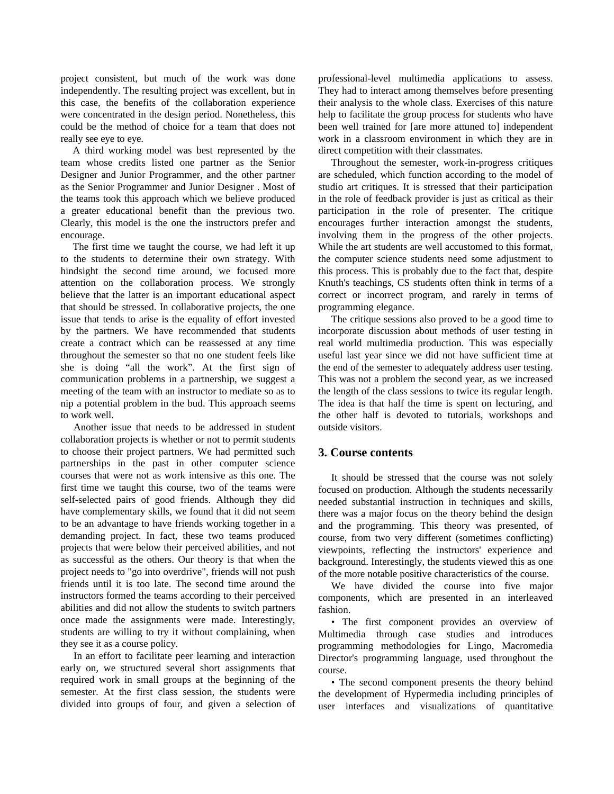project consistent, but much of the work was done independently. The resulting project was excellent, but in this case, the benefits of the collaboration experience were concentrated in the design period. Nonetheless, this could be the method of choice for a team that does not really see eye to eye.

A third working model was best represented by the team whose credits listed one partner as the Senior Designer and Junior Programmer, and the other partner as the Senior Programmer and Junior Designer . Most of the teams took this approach which we believe produced a greater educational benefit than the previous two. Clearly, this model is the one the instructors prefer and encourage.

The first time we taught the course, we had left it up to the students to determine their own strategy. With hindsight the second time around, we focused more attention on the collaboration process. We strongly believe that the latter is an important educational aspect that should be stressed. In collaborative projects, the one issue that tends to arise is the equality of effort invested by the partners. We have recommended that students create a contract which can be reassessed at any time throughout the semester so that no one student feels like she is doing "all the work". At the first sign of communication problems in a partnership, we suggest a meeting of the team with an instructor to mediate so as to nip a potential problem in the bud. This approach seems to work well.

Another issue that needs to be addressed in student collaboration projects is whether or not to permit students to choose their project partners. We had permitted such partnerships in the past in other computer science courses that were not as work intensive as this one. The first time we taught this course, two of the teams were self-selected pairs of good friends. Although they did have complementary skills, we found that it did not seem to be an advantage to have friends working together in a demanding project. In fact, these two teams produced projects that were below their perceived abilities, and not as successful as the others. Our theory is that when the project needs to "go into overdrive", friends will not push friends until it is too late. The second time around the instructors formed the teams according to their perceived abilities and did not allow the students to switch partners once made the assignments were made. Interestingly, students are willing to try it without complaining, when they see it as a course policy.

In an effort to facilitate peer learning and interaction early on, we structured several short assignments that required work in small groups at the beginning of the semester. At the first class session, the students were divided into groups of four, and given a selection of professional-level multimedia applications to assess. They had to interact among themselves before presenting their analysis to the whole class. Exercises of this nature help to facilitate the group process for students who have been well trained for [are more attuned to] independent work in a classroom environment in which they are in direct competition with their classmates.

Throughout the semester, work-in-progress critiques are scheduled, which function according to the model of studio art critiques. It is stressed that their participation in the role of feedback provider is just as critical as their participation in the role of presenter. The critique encourages further interaction amongst the students, involving them in the progress of the other projects. While the art students are well accustomed to this format, the computer science students need some adjustment to this process. This is probably due to the fact that, despite Knuth's teachings, CS students often think in terms of a correct or incorrect program, and rarely in terms of programming elegance.

The critique sessions also proved to be a good time to incorporate discussion about methods of user testing in real world multimedia production. This was especially useful last year since we did not have sufficient time at the end of the semester to adequately address user testing. This was not a problem the second year, as we increased the length of the class sessions to twice its regular length. The idea is that half the time is spent on lecturing, and the other half is devoted to tutorials, workshops and outside visitors.

### **3. Course contents**

It should be stressed that the course was not solely focused on production. Although the students necessarily needed substantial instruction in techniques and skills, there was a major focus on the theory behind the design and the programming. This theory was presented, of course, from two very different (sometimes conflicting) viewpoints, reflecting the instructors' experience and background. Interestingly, the students viewed this as one of the more notable positive characteristics of the course.

We have divided the course into five major components, which are presented in an interleaved fashion.

• The first component provides an overview of Multimedia through case studies and introduces programming methodologies for Lingo, Macromedia Director's programming language, used throughout the course.

• The second component presents the theory behind the development of Hypermedia including principles of user interfaces and visualizations of quantitative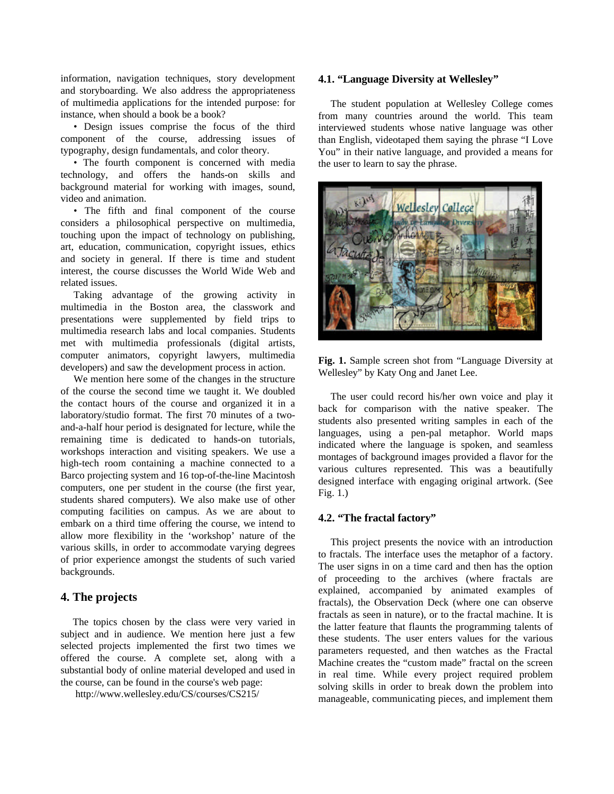information, navigation techniques, story development and storyboarding. We also address the appropriateness of multimedia applications for the intended purpose: for instance, when should a book be a book?

• Design issues comprise the focus of the third component of the course, addressing issues of typography, design fundamentals, and color theory.

• The fourth component is concerned with media technology, and offers the hands-on skills and background material for working with images, sound, video and animation.

• The fifth and final component of the course considers a philosophical perspective on multimedia, touching upon the impact of technology on publishing, art, education, communication, copyright issues, ethics and society in general. If there is time and student interest, the course discusses the World Wide Web and related issues.

Taking advantage of the growing activity in multimedia in the Boston area, the classwork and presentations were supplemented by field trips to multimedia research labs and local companies. Students met with multimedia professionals (digital artists, computer animators, copyright lawyers, multimedia developers) and saw the development process in action.

We mention here some of the changes in the structure of the course the second time we taught it. We doubled the contact hours of the course and organized it in a laboratory/studio format. The first 70 minutes of a twoand-a-half hour period is designated for lecture, while the remaining time is dedicated to hands-on tutorials, workshops interaction and visiting speakers. We use a high-tech room containing a machine connected to a Barco projecting system and 16 top-of-the-line Macintosh computers, one per student in the course (the first year, students shared computers). We also make use of other computing facilities on campus. As we are about to embark on a third time offering the course, we intend to allow more flexibility in the 'workshop' nature of the various skills, in order to accommodate varying degrees of prior experience amongst the students of such varied backgrounds.

# **4. The projects**

The topics chosen by the class were very varied in subject and in audience. We mention here just a few selected projects implemented the first two times we offered the course. A complete set, along with a substantial body of online material developed and used in the course, can be found in the course's web page:

http://www.wellesley.edu/CS/courses/CS215/

### **4.1. "Language Diversity at Wellesley"**

The student population at Wellesley College comes from many countries around the world. This team interviewed students whose native language was other than English, videotaped them saying the phrase "I Love You" in their native language, and provided a means for the user to learn to say the phrase.



**Fig. 1.** Sample screen shot from "Language Diversity at Wellesley" by Katy Ong and Janet Lee.

The user could record his/her own voice and play it back for comparison with the native speaker. The students also presented writing samples in each of the languages, using a pen-pal metaphor. World maps indicated where the language is spoken, and seamless montages of background images provided a flavor for the various cultures represented. This was a beautifully designed interface with engaging original artwork. (See Fig. 1.)

### **4.2. "The fractal factory"**

This project presents the novice with an introduction to fractals. The interface uses the metaphor of a factory. The user signs in on a time card and then has the option of proceeding to the archives (where fractals are explained, accompanied by animated examples of fractals), the Observation Deck (where one can observe fractals as seen in nature), or to the fractal machine. It is the latter feature that flaunts the programming talents of these students. The user enters values for the various parameters requested, and then watches as the Fractal Machine creates the "custom made" fractal on the screen in real time. While every project required problem solving skills in order to break down the problem into manageable, communicating pieces, and implement them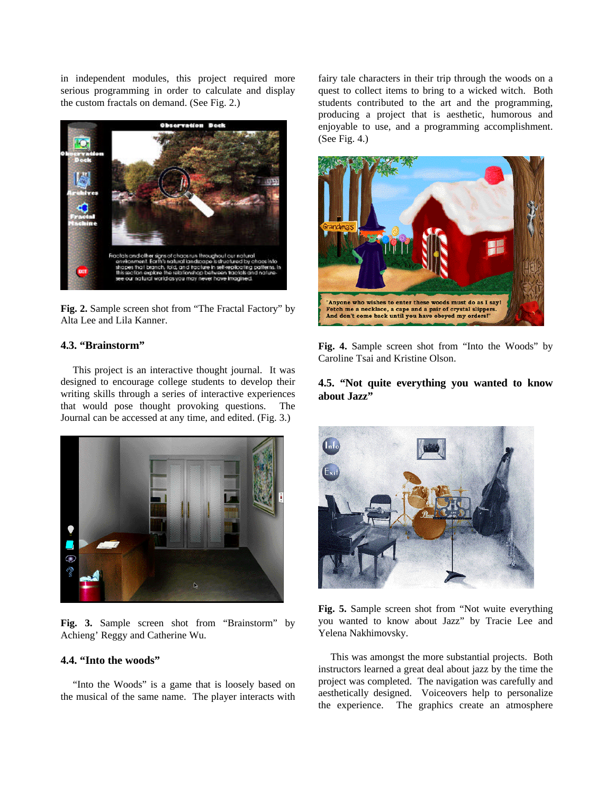in independent modules, this project required more serious programming in order to calculate and display the custom fractals on demand. (See Fig. 2.)



**Fig. 2.** Sample screen shot from "The Fractal Factory" by Alta Lee and Lila Kanner.

# **4.3. "Brainstorm"**

This project is an interactive thought journal. It was designed to encourage college students to develop their writing skills through a series of interactive experiences that would pose thought provoking questions. The Journal can be accessed at any time, and edited. (Fig. 3.)



**Fig. 3.** Sample screen shot from "Brainstorm" by Achieng' Reggy and Catherine Wu.

# **4.4. "Into the woods"**

"Into the Woods" is a game that is loosely based on the musical of the same name. The player interacts with

fairy tale characters in their trip through the woods on a quest to collect items to bring to a wicked witch. Both students contributed to the art and the programming, producing a project that is aesthetic, humorous and enjoyable to use, and a programming accomplishment. (See Fig. 4.)



**Fig. 4.** Sample screen shot from "Into the Woods" by Caroline Tsai and Kristine Olson.

# **4.5. "Not quite everything you wanted to know about Jazz"**



**Fig. 5.** Sample screen shot from "Not wuite everything you wanted to know about Jazz" by Tracie Lee and Yelena Nakhimovsky.

This was amongst the more substantial projects. Both instructors learned a great deal about jazz by the time the project was completed. The navigation was carefully and aesthetically designed. Voiceovers help to personalize the experience. The graphics create an atmosphere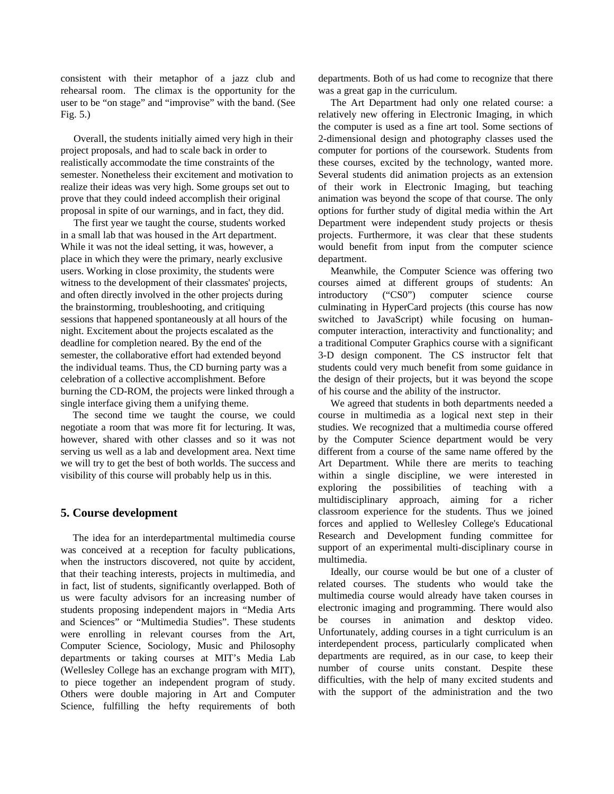consistent with their metaphor of a jazz club and rehearsal room. The climax is the opportunity for the user to be "on stage" and "improvise" with the band. (See Fig. 5.)

Overall, the students initially aimed very high in their project proposals, and had to scale back in order to realistically accommodate the time constraints of the semester. Nonetheless their excitement and motivation to realize their ideas was very high. Some groups set out to prove that they could indeed accomplish their original proposal in spite of our warnings, and in fact, they did.

The first year we taught the course, students worked in a small lab that was housed in the Art department. While it was not the ideal setting, it was, however, a place in which they were the primary, nearly exclusive users. Working in close proximity, the students were witness to the development of their classmates' projects, and often directly involved in the other projects during the brainstorming, troubleshooting, and critiquing sessions that happened spontaneously at all hours of the night. Excitement about the projects escalated as the deadline for completion neared. By the end of the semester, the collaborative effort had extended beyond the individual teams. Thus, the CD burning party was a celebration of a collective accomplishment. Before burning the CD-ROM, the projects were linked through a single interface giving them a unifying theme.

The second time we taught the course, we could negotiate a room that was more fit for lecturing. It was, however, shared with other classes and so it was not serving us well as a lab and development area. Next time we will try to get the best of both worlds. The success and visibility of this course will probably help us in this.

### **5. Course development**

The idea for an interdepartmental multimedia course was conceived at a reception for faculty publications, when the instructors discovered, not quite by accident, that their teaching interests, projects in multimedia, and in fact, list of students, significantly overlapped. Both of us were faculty advisors for an increasing number of students proposing independent majors in "Media Arts and Sciences" or "Multimedia Studies". These students were enrolling in relevant courses from the Art, Computer Science, Sociology, Music and Philosophy departments or taking courses at MIT's Media Lab (Wellesley College has an exchange program with MIT), to piece together an independent program of study. Others were double majoring in Art and Computer Science, fulfilling the hefty requirements of both

departments. Both of us had come to recognize that there was a great gap in the curriculum.

The Art Department had only one related course: a relatively new offering in Electronic Imaging, in which the computer is used as a fine art tool. Some sections of 2-dimensional design and photography classes used the computer for portions of the coursework. Students from these courses, excited by the technology, wanted more. Several students did animation projects as an extension of their work in Electronic Imaging, but teaching animation was beyond the scope of that course. The only options for further study of digital media within the Art Department were independent study projects or thesis projects. Furthermore, it was clear that these students would benefit from input from the computer science department.

Meanwhile, the Computer Science was offering two courses aimed at different groups of students: An introductory ("CS0") computer science course culminating in HyperCard projects (this course has now switched to JavaScript) while focusing on humancomputer interaction, interactivity and functionality; and a traditional Computer Graphics course with a significant 3-D design component. The CS instructor felt that students could very much benefit from some guidance in the design of their projects, but it was beyond the scope of his course and the ability of the instructor.

We agreed that students in both departments needed a course in multimedia as a logical next step in their studies. We recognized that a multimedia course offered by the Computer Science department would be very different from a course of the same name offered by the Art Department. While there are merits to teaching within a single discipline, we were interested in exploring the possibilities of teaching with a multidisciplinary approach, aiming for a richer classroom experience for the students. Thus we joined forces and applied to Wellesley College's Educational Research and Development funding committee for support of an experimental multi-disciplinary course in multimedia.

Ideally, our course would be but one of a cluster of related courses. The students who would take the multimedia course would already have taken courses in electronic imaging and programming. There would also be courses in animation and desktop video. Unfortunately, adding courses in a tight curriculum is an interdependent process, particularly complicated when departments are required, as in our case, to keep their number of course units constant. Despite these difficulties, with the help of many excited students and with the support of the administration and the two